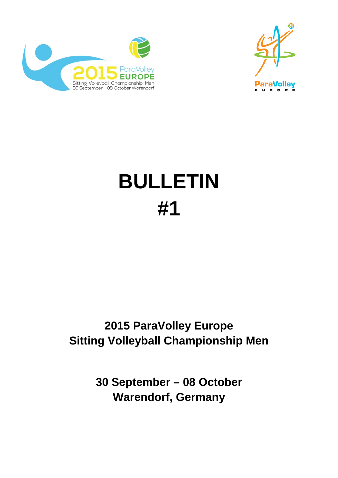



# **BULLETIN #1**

## **2015 ParaVolley Europe Sitting Volleyball Championship Men**

**30 September – 08 October Warendorf, Germany**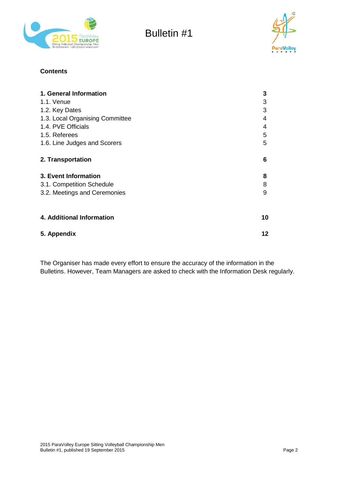



#### **Contents**

| 1. General Information          | 3  |
|---------------------------------|----|
| 1.1. Venue                      | 3  |
| 1.2. Key Dates                  | 3  |
| 1.3. Local Organising Committee | 4  |
| 1.4. PVE Officials              | 4  |
| 1.5. Referees                   | 5  |
| 1.6. Line Judges and Scorers    | 5  |
| 2. Transportation               | 6  |
| 3. Event Information            | 8  |
| 3.1. Competition Schedule       | 8  |
| 3.2. Meetings and Ceremonies    | 9  |
| 4. Additional Information       | 10 |
| 5. Appendix                     | 12 |

The Organiser has made every effort to ensure the accuracy of the information in the Bulletins. However, Team Managers are asked to check with the Information Desk regularly.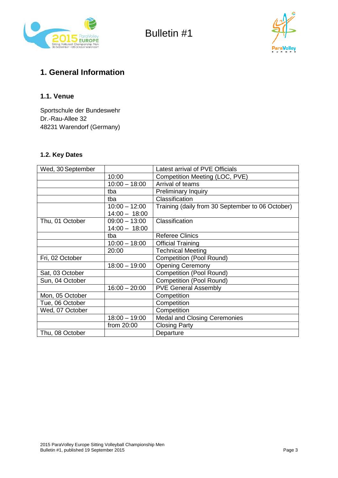



## **1. General Information**

#### **1.1. Venue**

Sportschule der Bundeswehr Dr.-Rau-Allee 32 48231 Warendorf (Germany)

#### **1.2. Key Dates**

| Wed, 30 September |                 | Latest arrival of PVE Officials                  |
|-------------------|-----------------|--------------------------------------------------|
|                   | 10:00           | Competition Meeting (LOC, PVE)                   |
|                   | $10:00 - 18:00$ | Arrival of teams                                 |
|                   | tba             | <b>Preliminary Inquiry</b>                       |
|                   | tba             | Classification                                   |
|                   | $10:00 - 12:00$ | Training (daily from 30 September to 06 October) |
|                   | $14:00 - 18:00$ |                                                  |
| Thu, 01 October   | $09:00 - 13:00$ | Classification                                   |
|                   | $14:00 - 18:00$ |                                                  |
|                   | tba             | <b>Referee Clinics</b>                           |
|                   | $10:00 - 18:00$ | <b>Official Training</b>                         |
|                   | 20:00           | <b>Technical Meeting</b>                         |
| Fri, 02 October   |                 | <b>Competition (Pool Round)</b>                  |
|                   | $18:00 - 19:00$ | <b>Opening Ceremony</b>                          |
| Sat, 03 October   |                 | <b>Competition (Pool Round)</b>                  |
| Sun, 04 October   |                 | <b>Competition (Pool Round)</b>                  |
|                   | $16:00 - 20:00$ | <b>PVE General Assembly</b>                      |
| Mon, 05 October   |                 | Competition                                      |
| Tue, 06 October   |                 | Competition                                      |
| Wed, 07 October   |                 | Competition                                      |
|                   | $18:00 - 19:00$ | <b>Medal and Closing Ceremonies</b>              |
|                   | from 20:00      | <b>Closing Party</b>                             |
| Thu, 08 October   |                 | Departure                                        |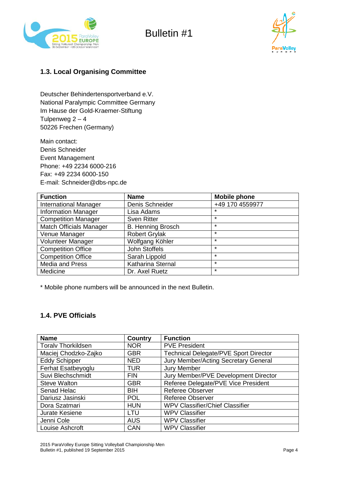



#### **1.3. Local Organising Committee**

Deutscher Behindertensportverband e.V. National Paralympic Committee Germany Im Hause der Gold-Kraemer-Stiftung Tulpenweg  $2 - 4$ 50226 Frechen (Germany)

Main contact: Denis Schneider Event Management Phone: +49 2234 6000-216 Fax: +49 2234 6000-150 E-mail: Schneider@dbs-npc.de

| <b>Function</b>                | <b>Name</b>              | <b>Mobile phone</b> |
|--------------------------------|--------------------------|---------------------|
| <b>International Manager</b>   | Denis Schneider          | +49 170 4559977     |
| <b>Information Manager</b>     | Lisa Adams               | $\star$             |
| <b>Competition Manager</b>     | <b>Sven Ritter</b>       | $\star$             |
| <b>Match Officials Manager</b> | <b>B. Henning Brosch</b> | $\star$             |
| Venue Manager                  | <b>Robert Grylak</b>     | $\star$             |
| Volunteer Manager              | Wolfgang Köhler          | $\star$             |
| <b>Competition Office</b>      | John Stoffels            | $\star$             |
| <b>Competition Office</b>      | Sarah Lippold            | $\star$             |
| <b>Media and Press</b>         | Katharina Sternal        | $\star$             |
| Medicine                       | Dr. Axel Ruetz           | $\star$             |

\* Mobile phone numbers will be announced in the next Bulletin.

#### **1.4. PVE Officials**

| <b>Name</b>               | <b>Country</b> | <b>Function</b>                              |
|---------------------------|----------------|----------------------------------------------|
| <b>Toralv Thorkildsen</b> | <b>NOR</b>     | <b>PVE President</b>                         |
| Maciej Chodzko-Zajko      | <b>GBR</b>     | <b>Technical Delegate/PVE Sport Director</b> |
| <b>Eddy Schipper</b>      | <b>NED</b>     | Jury Member/Acting Secretary General         |
| Ferhat Esatbeyoglu        | <b>TUR</b>     | <b>Jury Member</b>                           |
| Suvi Blechschmidt         | <b>FIN</b>     | Jury Member/PVE Development Director         |
| <b>Steve Walton</b>       | <b>GBR</b>     | Referee Delegate/PVE Vice President          |
| Senad Helac               | <b>BIH</b>     | <b>Referee Observer</b>                      |
| Dariusz Jasinski          | <b>POL</b>     | <b>Referee Observer</b>                      |
| Dora Szatmari             | <b>HUN</b>     | <b>WPV Classifier/Chief Classifier</b>       |
| Jurate Kesiene            | LTU            | <b>WPV Classifier</b>                        |
| Jenni Cole                | <b>AUS</b>     | <b>WPV Classifier</b>                        |
| Louise Ashcroft           | CAN            | <b>WPV Classifier</b>                        |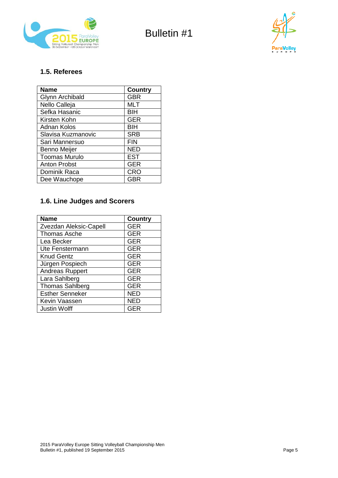



#### **1.5. Referees**

| <b>Name</b>            | <b>Country</b> |
|------------------------|----------------|
| <b>Glynn Archibald</b> | <b>GBR</b>     |
| Nello Calleja          | <b>MLT</b>     |
| Sefka Hasanic          | <b>BIH</b>     |
| Kirsten Kohn           | <b>GER</b>     |
| <b>Adnan Kolos</b>     | <b>BIH</b>     |
| Slavisa Kuzmanovic     | <b>SRB</b>     |
| Sari Mannersuo         | <b>FIN</b>     |
| Benno Meijer           | <b>NED</b>     |
| <b>Toomas Murulo</b>   | <b>EST</b>     |
| <b>Anton Probst</b>    | <b>GER</b>     |
| Dominik Raca           | <b>CRO</b>     |
| Dee Wauchope           | GBR            |

#### **1.6. Line Judges and Scorers**

| <b>Name</b>            | <b>Country</b> |
|------------------------|----------------|
| Zvezdan Aleksic-Capell | <b>GER</b>     |
| <b>Thomas Asche</b>    | <b>GER</b>     |
| Lea Becker             | <b>GER</b>     |
| Ute Fenstermann        | <b>GER</b>     |
| <b>Knud Gentz</b>      | <b>GER</b>     |
| Jürgen Pospiech        | <b>GER</b>     |
| Andreas Ruppert        | <b>GER</b>     |
| Lara Sahlberg          | <b>GER</b>     |
| <b>Thomas Sahlberg</b> | <b>GER</b>     |
| <b>Esther Senneker</b> | <b>NED</b>     |
| Kevin Vaassen          | <b>NED</b>     |
| <b>Justin Wolff</b>    | GER            |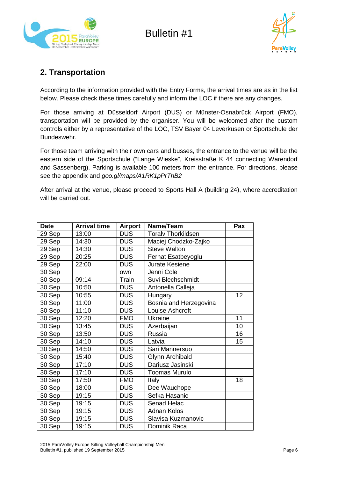



## **2. Transportation**

According to the information provided with the Entry Forms, the arrival times are as in the list below. Please check these times carefully and inform the LOC if there are any changes.

For those arriving at Düsseldorf Airport (DUS) or Münster-Osnabrück Airport (FMO), transportation will be provided by the organiser. You will be welcomed after the custom controls either by a representative of the LOC, TSV Bayer 04 Leverkusen or Sportschule der Bundeswehr.

For those team arriving with their own cars and busses, the entrance to the venue will be the eastern side of the Sportschule ("Lange Wieske", Kreisstraße K 44 connecting Warendorf and Sassenberg). Parking is available 100 meters from the entrance. For directions, please see the appendix and *[goo.gl/maps/A1RK1pPrThB2](http://goo.gl/maps/A1RK1pPrThB2)*

After arrival at the venue, please proceed to Sports Hall A (building 24), where accreditation will be carried out.

| <b>Date</b> | <b>Arrival time</b> | <b>Airport</b> | Name/Team                 | Pax |
|-------------|---------------------|----------------|---------------------------|-----|
| 29 Sep      | 13:00               | <b>DUS</b>     | <b>Toralv Thorkildsen</b> |     |
| 29 Sep      | 14:30               | <b>DUS</b>     | Maciej Chodzko-Zajko      |     |
| 29 Sep      | 14:30               | <b>DUS</b>     | <b>Steve Walton</b>       |     |
| 29 Sep      | 20:25               | <b>DUS</b>     | Ferhat Esatbeyoglu        |     |
| 29 Sep      | 22:00               | <b>DUS</b>     | Jurate Kesiene            |     |
| 30 Sep      |                     | own            | Jenni Cole                |     |
| 30 Sep      | 09:14               | Train          | Suvi Blechschmidt         |     |
| 30 Sep      | 10:50               | <b>DUS</b>     | Antonella Calleja         |     |
| 30 Sep      | 10:55               | <b>DUS</b>     | Hungary                   | 12  |
| 30 Sep      | 11:00               | <b>DUS</b>     | Bosnia and Herzegovina    |     |
| 30 Sep      | 11:10               | <b>DUS</b>     | Louise Ashcroft           |     |
| 30 Sep      | 12:20               | <b>FMO</b>     | Ukraine                   | 11  |
| 30 Sep      | 13:45               | <b>DUS</b>     | Azerbaijan                | 10  |
| 30 Sep      | 13:50               | <b>DUS</b>     | <b>Russia</b>             | 16  |
| 30 Sep      | 14:10               | <b>DUS</b>     | Latvia                    | 15  |
| 30 Sep      | 14:50               | <b>DUS</b>     | Sari Mannersuo            |     |
| 30 Sep      | 15:40               | <b>DUS</b>     | Glynn Archibald           |     |
| 30 Sep      | 17:10               | <b>DUS</b>     | Dariusz Jasinski          |     |
| 30 Sep      | 17:10               | <b>DUS</b>     | <b>Toomas Murulo</b>      |     |
| 30 Sep      | 17:50               | <b>FMO</b>     | Italy                     | 18  |
| 30 Sep      | 18:00               | <b>DUS</b>     | Dee Wauchope              |     |
| 30 Sep      | 19:15               | <b>DUS</b>     | Sefka Hasanic             |     |
| 30 Sep      | 19:15               | <b>DUS</b>     | Senad Helac               |     |
| 30 Sep      | 19:15               | <b>DUS</b>     | <b>Adnan Kolos</b>        |     |
| 30 Sep      | 19:15               | <b>DUS</b>     | Slavisa Kuzmanovic        |     |
| 30 Sep      | 19:15               | <b>DUS</b>     | Dominik Raca              |     |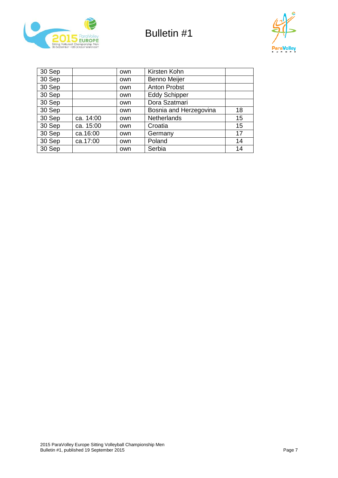



| 30 Sep |           | own | Kirsten Kohn           |    |
|--------|-----------|-----|------------------------|----|
| 30 Sep |           | own | <b>Benno Meijer</b>    |    |
| 30 Sep |           | own | <b>Anton Probst</b>    |    |
| 30 Sep |           | own | <b>Eddy Schipper</b>   |    |
| 30 Sep |           | own | Dora Szatmari          |    |
| 30 Sep |           | own | Bosnia and Herzegovina | 18 |
| 30 Sep | ca. 14:00 | own | <b>Netherlands</b>     | 15 |
| 30 Sep | ca. 15:00 | own | Croatia                | 15 |
| 30 Sep | ca.16:00  | own | Germany                | 17 |
| 30 Sep | ca.17:00  | own | Poland                 | 14 |
| 30 Sep |           | own | Serbia                 | 14 |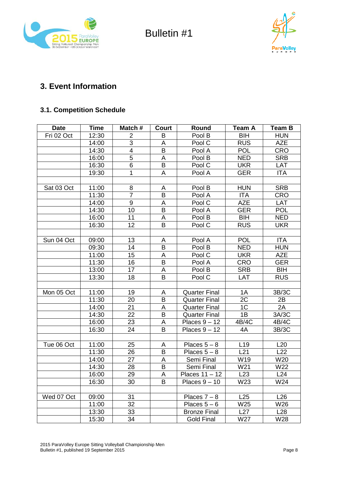



## **3. Event Information**

#### **3.1. Competition Schedule**

| <b>Date</b> | <b>Time</b> | Match#           | Court          | Round                | <b>Team A</b>   | <b>Team B</b> |
|-------------|-------------|------------------|----------------|----------------------|-----------------|---------------|
| Fri 02 Oct  | 12:30       | $\overline{2}$   | B              | Pool B               | <b>BIH</b>      | <b>HUN</b>    |
|             | 14:00       | 3                | Α              | Pool C               | <b>RUS</b>      | <b>AZE</b>    |
|             | 14:30       | 4                | B              | Pool A               | <b>POL</b>      | <b>CRO</b>    |
|             | 16:00       | 5                | A              | Pool B               | <b>NED</b>      | <b>SRB</b>    |
|             | 16:30       | 6                | $\sf B$        | Pool C               | <b>UKR</b>      | LAT           |
|             | 19:30       | 1                | A              | Pool A               | <b>GER</b>      | <b>ITA</b>    |
|             |             |                  |                |                      |                 |               |
| Sat 03 Oct  | 11:00       | 8                | A              | Pool B               | <b>HUN</b>      | <b>SRB</b>    |
|             | 11:30       | $\overline{7}$   | B              | Pool A               | <b>ITA</b>      | <b>CRO</b>    |
|             | 14:00       | $\boldsymbol{9}$ | A              | Pool C               | <b>AZE</b>      | LAT           |
|             | 14:30       | 10               | B              | Pool A               | <b>GER</b>      | <b>POL</b>    |
|             | 16:00       | 11               | A              | Pool B               | <b>BIH</b>      | <b>NED</b>    |
|             | 16:30       | 12               | B              | Pool C               | <b>RUS</b>      | <b>UKR</b>    |
|             |             |                  |                |                      |                 |               |
| Sun 04 Oct  | 09:00       | 13               | Α              | Pool A               | <b>POL</b>      | <b>ITA</b>    |
|             | 09:30       | 14               | B              | Pool B               | <b>NED</b>      | <b>HUN</b>    |
|             | 11:00       | 15               | A              | Pool C               | <b>UKR</b>      | <b>AZE</b>    |
|             | 11:30       | 16               | $\overline{B}$ | Pool A               | <b>CRO</b>      | <b>GER</b>    |
|             | 13:00       | 17               | A              | Pool B               | <b>SRB</b>      | <b>BIH</b>    |
|             | 13:30       | 18               | B              | Pool C               | LAT             | <b>RUS</b>    |
|             |             |                  |                |                      |                 |               |
| Mon 05 Oct  | 11:00       | 19               | A              | <b>Quarter Final</b> | 1A              | 3B/3C         |
|             | 11:30       | 20               | B              | <b>Quarter Final</b> | 2C              | 2B            |
|             | 14:00       | 21               | Α              | <b>Quarter Final</b> | 1 <sub>C</sub>  | 2A            |
|             | 14:30       | 22               | B              | <b>Quarter Final</b> | 1B              | 3A/3C         |
|             | 16:00       | 23               | A              | Places $9 - 12$      | 4B/4C           | 4B/4C         |
|             | 16:30       | 24               | B              | Places $9 - 12$      | 4A              | 3B/3C         |
|             |             |                  |                |                      |                 |               |
| Tue 06 Oct  | 11:00       | 25               | A              | Places $5 - 8$       | L <sub>19</sub> | L20           |
|             | 11:30       | 26               | B              | Places $5 - 8$       | L21             | L22           |
|             | 14:00       | 27               | A              | Semi Final           | W19             | W20           |
|             | 14:30       | 28               | B              | Semi Final           | W21             | W22           |
|             | 16:00       | 29               | A              | Places $11 - 12$     | L23             | L24           |
|             | 16:30       | 30               | B              | Places $9 - 10$      | W23             | W24           |
|             |             |                  |                |                      |                 |               |
| Wed 07 Oct  | 09:00       | 31               |                | Places $7 - 8$       | L25             | L26           |
|             | 11:00       | 32               |                | Places $5-6$         | W25             | W26           |
|             | 13:30       | 33               |                | <b>Bronze Final</b>  | L27             | L28           |
|             | 15:30       | 34               |                | <b>Gold Final</b>    | W27             | W28           |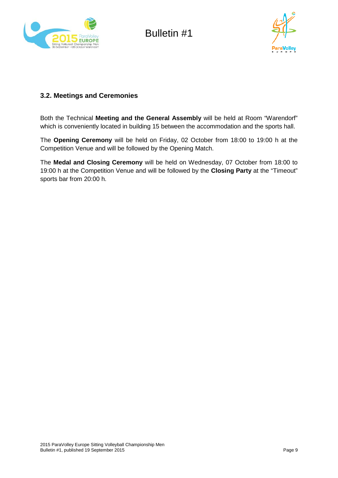



#### **3.2. Meetings and Ceremonies**

Both the Technical **Meeting and the General Assembly** will be held at Room "Warendorf" which is conveniently located in building 15 between the accommodation and the sports hall.

The **Opening Ceremony** will be held on Friday, 02 October from 18:00 to 19:00 h at the Competition Venue and will be followed by the Opening Match.

The **Medal and Closing Ceremony** will be held on Wednesday, 07 October from 18:00 to 19:00 h at the Competition Venue and will be followed by the **Closing Party** at the "Timeout" sports bar from 20:00 h.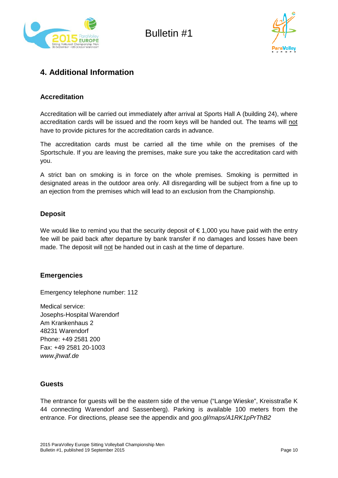



## **4. Additional Information**

#### **Accreditation**

Accreditation will be carried out immediately after arrival at Sports Hall A (building 24), where accreditation cards will be issued and the room keys will be handed out. The teams will not have to provide pictures for the accreditation cards in advance.

The accreditation cards must be carried all the time while on the premises of the Sportschule. If you are leaving the premises, make sure you take the accreditation card with you.

A strict ban on smoking is in force on the whole premises. Smoking is permitted in designated areas in the outdoor area only. All disregarding will be subject from a fine up to an ejection from the premises which will lead to an exclusion from the Championship.

#### **Deposit**

We would like to remind you that the security deposit of  $\epsilon$  1,000 you have paid with the entry fee will be paid back after departure by bank transfer if no damages and losses have been made. The deposit will not be handed out in cash at the time of departure.

#### **Emergencies**

Emergency telephone number: 112

Medical service: Josephs-Hospital Warendorf Am Krankenhaus 2 48231 Warendorf Phone: +49 2581 200 Fax: +49 2581 20-1003 *[www.jhwaf.de](http://www.jhwaf.de/)*

#### **Guests**

The entrance for guests will be the eastern side of the venue ("Lange Wieske", Kreisstraße K 44 connecting Warendorf and Sassenberg). Parking is available 100 meters from the entrance. For directions, please see the appendix and *[goo.gl/maps/A1RK1pPrThB2](http://goo.gl/maps/A1RK1pPrThB2)*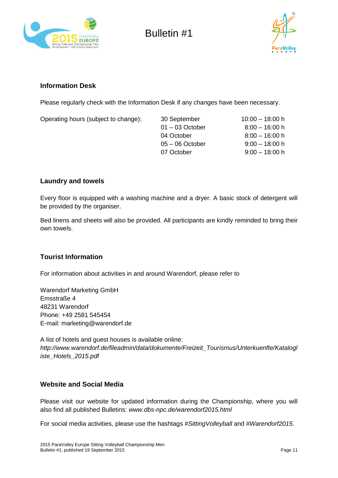



#### **Information Desk**

Please regularly check with the Information Desk if any changes have been necessary.

| Operating hours (subject to change): | 30 September      | $10:00 - 18:00$ h |
|--------------------------------------|-------------------|-------------------|
|                                      | $01 - 03$ October | $8:00 - 16:00 h$  |
|                                      | 04 October        | $8:00 - 16:00 h$  |
|                                      | $05 - 06$ October | $9:00 - 18:00 h$  |
|                                      | 07 October        | $9:00 - 18:00 h$  |
|                                      |                   |                   |

#### **Laundry and towels**

Every floor is equipped with a washing machine and a dryer. A basic stock of detergent will be provided by the organiser.

Bed linens and sheets will also be provided. All participants are kindly reminded to bring their own towels.

#### **Tourist Information**

For information about activities in and around Warendorf, please refer to

Warendorf Marketing GmbH Emsstraße 4 48231 Warendorf Phone: +49 2581 545454 E-mail: marketing@warendorf.de

A list of hotels and guest houses is available online: *[http://www.warendorf.de/fileadmin/data/dokumente/Freizeit\\_Tourismus/Unterkuenfte/Katalogl](http://www.warendorf.de/fileadmin/data/dokumente/Freizeit_Tourismus/Unterkuenfte/Katalogliste_Hotels_2015.pdf) [iste\\_Hotels\\_2015.pdf](http://www.warendorf.de/fileadmin/data/dokumente/Freizeit_Tourismus/Unterkuenfte/Katalogliste_Hotels_2015.pdf)*

#### **Website and Social Media**

Please visit our website for updated information during the Championship, where you will also find all published Bulletins: *[www.dbs-npc.de/warendorf2015.html](http://www.dbs-npc.de/warendorf2015.html)*

For social media activities, please use the hashtags *#SittingVolleyball* and *#Warendorf2015*.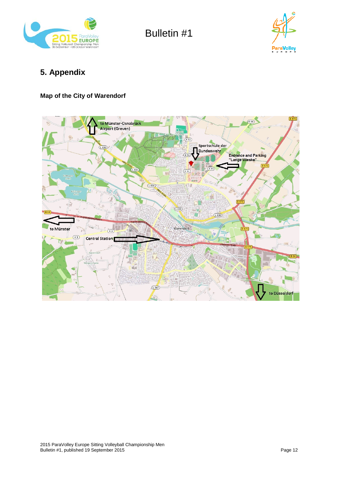



## **5. Appendix**

#### **Map of the City of Warendorf**